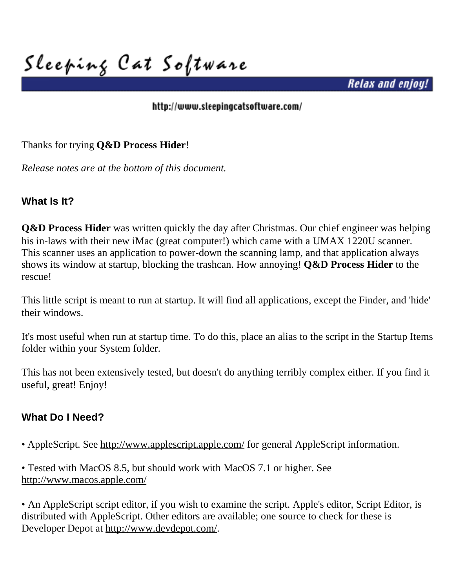**Sleeping Cat Software**

*Relax and enjoy!*

#### <http://www.sleepingcatsoftware.com/>

Thanks for trying **Q&D Process Hider**!

*Release notes are at the bottom of this document.*

## **What Is It?**

**Q&D Process Hider** was written quickly the day after Christmas. Our chief engineer was helping his in-laws with their new iMac (great computer!) which came with a UMAX 1220U scanner. This scanner uses an application to power-down the scanning lamp, and that application always shows its window at startup, blocking the trashcan. How annoying! **Q&D Process Hider** to the rescue!

This little script is meant to run at startup. It will find all applications, except the Finder, and 'hide' their windows.

It's most useful when run at startup time. To do this, place an alias to the script in the Startup Items folder within your System folder.

This has not been extensively tested, but doesn't do anything terribly complex either. If you find it useful, great! Enjoy!

## **What Do I Need?**

• AppleScript. See<http://www.applescript.apple.com/>for general AppleScript information.

• Tested with MacOS 8.5, but should work with MacOS 7.1 or higher. See <http://www.macos.apple.com/>

• An AppleScript script editor, if you wish to examine the script. Apple's editor, Script Editor, is distributed with AppleScript. Other editors are available; one source to check for these is Developer Depot at http://www.devdepot.com/.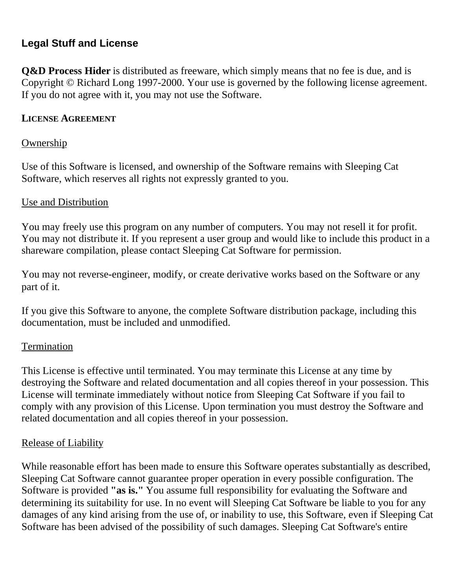## **Legal Stuff and License**

**Q&D Process Hider** is distributed as freeware, which simply means that no fee is due, and is Copyright © Richard Long 1997-2000. Your use is governed by the following license agreement. If you do not agree with it, you may not use the Software.

#### **LICENSE AGREEMENT**

#### **Ownership**

Use of this Software is licensed, and ownership of the Software remains with Sleeping Cat Software, which reserves all rights not expressly granted to you.

#### Use and Distribution

You may freely use this program on any number of computers. You may not resell it for profit. You may not distribute it. If you represent a user group and would like to include this product in a shareware compilation, please contact Sleeping Cat Software for permission.

You may not reverse-engineer, modify, or create derivative works based on the Software or any part of it.

If you give this Software to anyone, the complete Software distribution package, including this documentation, must be included and unmodified.

### **Termination**

This License is effective until terminated. You may terminate this License at any time by destroying the Software and related documentation and all copies thereof in your possession. This License will terminate immediately without notice from Sleeping Cat Software if you fail to comply with any provision of this License. Upon termination you must destroy the Software and related documentation and all copies thereof in your possession.

### Release of Liability

While reasonable effort has been made to ensure this Software operates substantially as described, Sleeping Cat Software cannot guarantee proper operation in every possible configuration. The Software is provided **"as is."** You assume full responsibility for evaluating the Software and determining its suitability for use. In no event will Sleeping Cat Software be liable to you for any damages of any kind arising from the use of, or inability to use, this Software, even if Sleeping Cat Software has been advised of the possibility of such damages. Sleeping Cat Software's entire